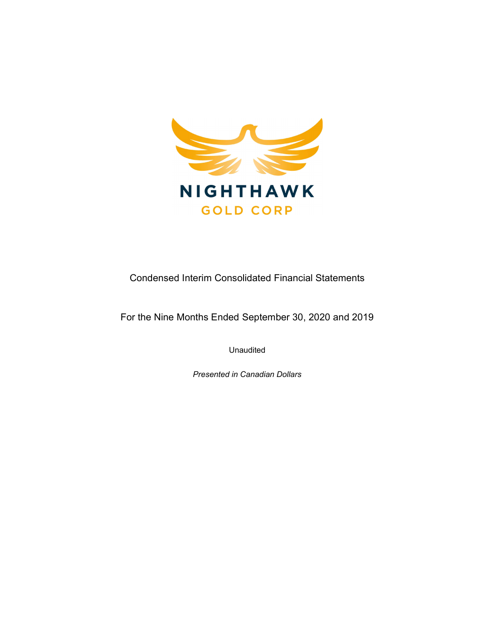

Condensed Interim Consolidated Financial Statements

For the Nine Months Ended September 30, 2020 and 2019

Unaudited

Presented in Canadian Dollars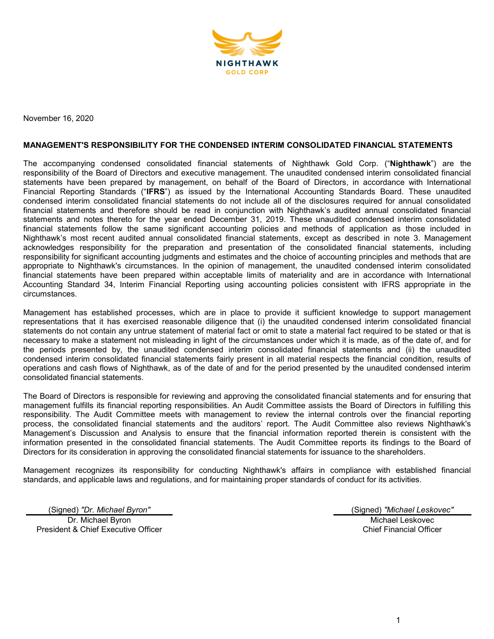

November 16, 2020

#### MANAGEMENT'S RESPONSIBILITY FOR THE CONDENSED INTERIM CONSOLIDATED FINANCIAL STATEMENTS

The accompanying condensed consolidated financial statements of Nighthawk Gold Corp. ("Nighthawk") are the responsibility of the Board of Directors and executive management. The unaudited condensed interim consolidated financial statements have been prepared by management, on behalf of the Board of Directors, in accordance with International Financial Reporting Standards ("IFRS") as issued by the International Accounting Standards Board. These unaudited condensed interim consolidated financial statements do not include all of the disclosures required for annual consolidated financial statements and therefore should be read in conjunction with Nighthawk's audited annual consolidated financial statements and notes thereto for the year ended December 31, 2019. These unaudited condensed interim consolidated financial statements follow the same significant accounting policies and methods of application as those included in Nighthawk's most recent audited annual consolidated financial statements, except as described in note 3. Management acknowledges responsibility for the preparation and presentation of the consolidated financial statements, including responsibility for significant accounting judgments and estimates and the choice of accounting principles and methods that are appropriate to Nighthawk's circumstances. In the opinion of management, the unaudited condensed interim consolidated financial statements have been prepared within acceptable limits of materiality and are in accordance with International Accounting Standard 34, Interim Financial Reporting using accounting policies consistent with IFRS appropriate in the circumstances.

Management has established processes, which are in place to provide it sufficient knowledge to support management representations that it has exercised reasonable diligence that (i) the unaudited condensed interim consolidated financial statements do not contain any untrue statement of material fact or omit to state a material fact required to be stated or that is necessary to make a statement not misleading in light of the circumstances under which it is made, as of the date of, and for the periods presented by, the unaudited condensed interim consolidated financial statements and (ii) the unaudited condensed interim consolidated financial statements fairly present in all material respects the financial condition, results of operations and cash flows of Nighthawk, as of the date of and for the period presented by the unaudited condensed interim consolidated financial statements.

The Board of Directors is responsible for reviewing and approving the consolidated financial statements and for ensuring that management fulfills its financial reporting responsibilities. An Audit Committee assists the Board of Directors in fulfilling this responsibility. The Audit Committee meets with management to review the internal controls over the financial reporting process, the consolidated financial statements and the auditors' report. The Audit Committee also reviews Nighthawk's Management's Discussion and Analysis to ensure that the financial information reported therein is consistent with the information presented in the consolidated financial statements. The Audit Committee reports its findings to the Board of Directors for its consideration in approving the consolidated financial statements for issuance to the shareholders.

Management recognizes its responsibility for conducting Nighthawk's affairs in compliance with established financial standards, and applicable laws and regulations, and for maintaining proper standards of conduct for its activities.

(Signed) "Dr. Michael Byron" (Signed) "Michael Leskovec"

Dr. Michael Byron President & Chief Executive Officer

Michael Leskovec Chief Financial Officer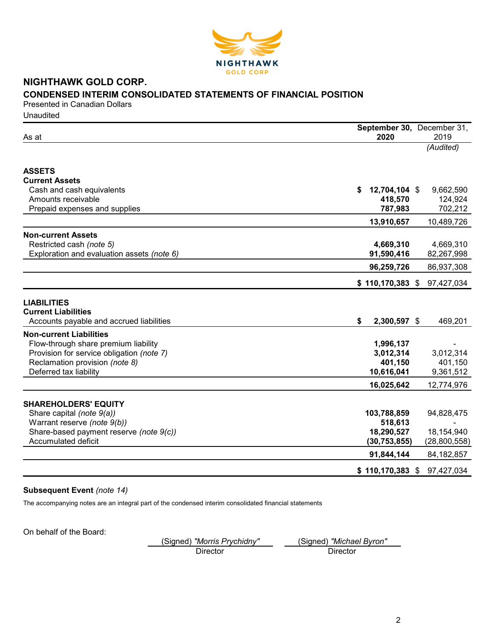

# NIGHTHAWK GOLD CORP. CONDENSED INTERIM CONSOLIDATED STATEMENTS OF FINANCIAL POSITION

Presented in Canadian Dollars **Unaudited** 

|                                            | September 30, December 31,   |              |
|--------------------------------------------|------------------------------|--------------|
| As at                                      | 2020                         | 2019         |
|                                            |                              | (Audited)    |
|                                            |                              |              |
| <b>ASSETS</b>                              |                              |              |
| <b>Current Assets</b>                      |                              |              |
| Cash and cash equivalents                  | \$<br>12,704,104 \$          | 9,662,590    |
| Amounts receivable                         | 418,570                      | 124,924      |
| Prepaid expenses and supplies              | 787,983                      | 702,212      |
|                                            | 13,910,657                   | 10,489,726   |
| <b>Non-current Assets</b>                  |                              |              |
| Restricted cash (note 5)                   | 4,669,310                    | 4,669,310    |
| Exploration and evaluation assets (note 6) | 91,590,416                   | 82,267,998   |
|                                            | 96,259,726                   | 86,937,308   |
|                                            | $$110,170,383$ $$97,427,034$ |              |
|                                            |                              |              |
| <b>LIABILITIES</b>                         |                              |              |
| <b>Current Liabilities</b>                 |                              |              |
| Accounts payable and accrued liabilities   | \$<br>2,300,597 \$           | 469,201      |
| <b>Non-current Liabilities</b>             |                              |              |
| Flow-through share premium liability       | 1,996,137                    |              |
| Provision for service obligation (note 7)  | 3,012,314                    | 3,012,314    |
| Reclamation provision (note 8)             | 401,150                      | 401,150      |
| Deferred tax liability                     | 10,616,041                   | 9,361,512    |
|                                            | 16,025,642                   | 12,774,976   |
|                                            |                              |              |
| <b>SHAREHOLDERS' EQUITY</b>                |                              |              |
| Share capital (note 9(a))                  | 103,788,859                  | 94,828,475   |
| Warrant reserve (note 9(b))                | 518,613                      |              |
| Share-based payment reserve (note 9(c))    | 18,290,527                   | 18,154,940   |
| Accumulated deficit                        | (30, 753, 855)               | (28,800,558) |
|                                            | 91,844,144                   | 84, 182, 857 |
|                                            | $$110,170,383$ \$            | 97,427,034   |
|                                            |                              |              |

## Subsequent Event (note 14)

The accompanying notes are an integral part of the condensed interim consolidated financial statements

On behalf of the Board:

(Signed) "Morris Prychidny" (Signed) "Michael Byron"

Director Director Director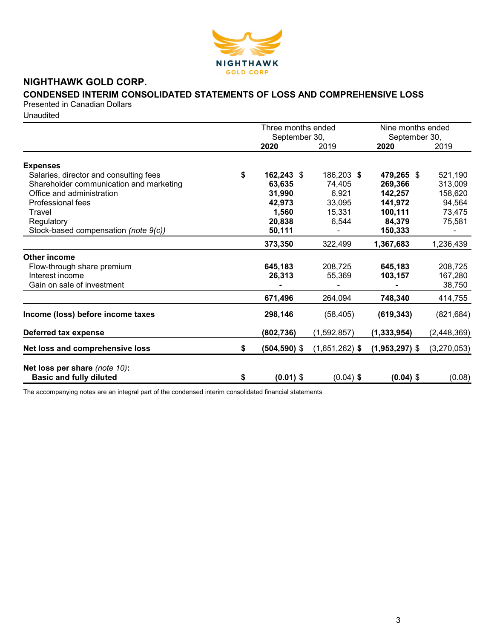

# NIGHTHAWK GOLD CORP.

# CONDENSED INTERIM CONSOLIDATED STATEMENTS OF LOSS AND COMPREHENSIVE LOSS

Presented in Canadian Dollars

**Unaudited** 

|                                                                 | Three months ended            |                  | Nine months ended     |             |
|-----------------------------------------------------------------|-------------------------------|------------------|-----------------------|-------------|
|                                                                 | September 30,<br>2020<br>2019 |                  | September 30,<br>2020 | 2019        |
|                                                                 |                               |                  |                       |             |
| <b>Expenses</b>                                                 |                               |                  |                       |             |
| Salaries, director and consulting fees                          | \$<br>162,243 \$              | 186,203 \$       | 479,265 \$            | 521,190     |
| Shareholder communication and marketing                         | 63,635                        | 74,405           | 269,366               | 313,009     |
| Office and administration                                       | 31,990                        | 6,921            | 142,257               | 158,620     |
| Professional fees                                               | 42,973                        | 33,095           | 141,972               | 94,564      |
| Travel                                                          | 1,560                         | 15,331           | 100,111               | 73,475      |
| Regulatory                                                      | 20,838                        | 6,544            | 84,379                | 75,581      |
| Stock-based compensation (note 9(c))                            | 50,111                        |                  | 150,333               |             |
|                                                                 | 373,350                       | 322,499          | 1,367,683             | 1,236,439   |
| <b>Other income</b>                                             |                               |                  |                       |             |
| Flow-through share premium                                      | 645,183                       | 208,725          | 645,183               | 208,725     |
| Interest income                                                 | 26,313                        | 55,369           | 103,157               | 167,280     |
| Gain on sale of investment                                      |                               |                  |                       | 38,750      |
|                                                                 | 671,496                       | 264,094          | 748,340               | 414,755     |
| Income (loss) before income taxes                               | 298,146                       | (58, 405)        | (619, 343)            | (821, 684)  |
| Deferred tax expense                                            | (802, 736)                    | (1,592,857)      | (1, 333, 954)         | (2,448,369) |
| Net loss and comprehensive loss                                 | \$<br>(504,590) \$            | $(1,651,262)$ \$ | $(1,953,297)$ \$      | (3,270,053) |
|                                                                 |                               |                  |                       |             |
| Net loss per share (note 10):<br><b>Basic and fully diluted</b> | \$<br>$(0.01)$ \$             | $(0.04)$ \$      | $(0.04)$ \$           | (0.08)      |
|                                                                 |                               |                  |                       |             |

The accompanying notes are an integral part of the condensed interim consolidated financial statements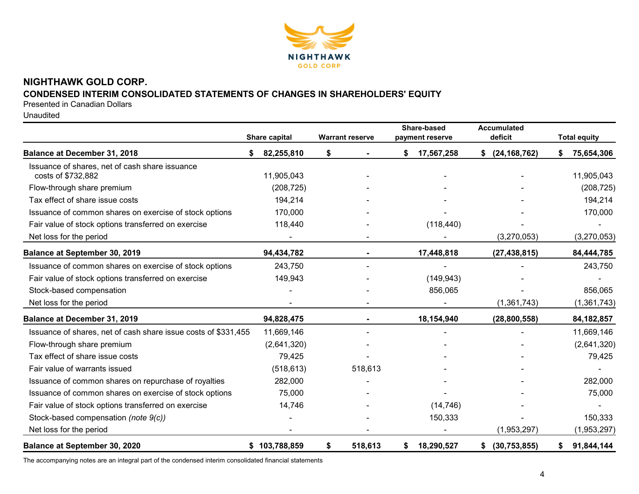

# NIGHTHAWK GOLD CORP. CONDENSED INTERIM CONSOLIDATED STATEMENTS OF CHANGES IN SHAREHOLDERS' EQUITY

Presented in Canadian Dollars

Unaudited

|                                                                      | Share capital |        | <b>Warrant reserve</b> | Share-based<br>payment reserve | Accumulated<br>deficit | <b>Total equity</b> |               |
|----------------------------------------------------------------------|---------------|--------|------------------------|--------------------------------|------------------------|---------------------|---------------|
| Balance at December 31, 2018                                         | 82,255,810    | \$     |                        | \$<br>17,567,258               | (24, 168, 762)<br>\$   |                     | 75,654,306    |
| Issuance of shares, net of cash share issuance<br>costs of \$732,882 | 11,905,043    |        |                        |                                |                        |                     | 11,905,043    |
| Flow-through share premium                                           | (208, 725)    |        |                        |                                |                        |                     | (208, 725)    |
| Tax effect of share issue costs                                      | 194,214       |        |                        |                                |                        |                     | 194,214       |
| Issuance of common shares on exercise of stock options               | 170,000       |        |                        |                                |                        |                     | 170,000       |
| Fair value of stock options transferred on exercise                  | 118,440       |        |                        | (118, 440)                     |                        |                     |               |
| Net loss for the period                                              |               |        |                        |                                | (3,270,053)            |                     | (3,270,053)   |
| <b>Balance at September 30, 2019</b>                                 | 94,434,782    |        |                        | 17,448,818                     | (27, 438, 815)         |                     | 84,444,785    |
| Issuance of common shares on exercise of stock options               | 243,750       |        |                        |                                |                        |                     | 243,750       |
| Fair value of stock options transferred on exercise                  | 149,943       |        |                        | (149, 943)                     |                        |                     |               |
| Stock-based compensation                                             |               |        |                        | 856,065                        |                        |                     | 856,065       |
| Net loss for the period                                              |               |        |                        |                                | (1,361,743)            |                     | (1, 361, 743) |
| Balance at December 31, 2019                                         | 94,828,475    |        |                        | 18,154,940                     | (28, 800, 558)         |                     | 84, 182, 857  |
| Issuance of shares, net of cash share issue costs of \$331,455       | 11,669,146    |        |                        |                                |                        |                     | 11,669,146    |
| Flow-through share premium                                           | (2,641,320)   |        |                        |                                |                        |                     | (2,641,320)   |
| Tax effect of share issue costs                                      |               | 79,425 |                        |                                |                        |                     | 79,425        |
| Fair value of warrants issued                                        | (518, 613)    |        | 518,613                |                                |                        |                     |               |
| Issuance of common shares on repurchase of royalties                 | 282,000       |        |                        |                                |                        |                     | 282,000       |
| Issuance of common shares on exercise of stock options               |               | 75,000 |                        |                                |                        |                     | 75,000        |
| Fair value of stock options transferred on exercise                  |               | 14,746 |                        | (14, 746)                      |                        |                     |               |
| Stock-based compensation (note 9(c))                                 |               |        |                        | 150,333                        |                        |                     | 150,333       |
| Net loss for the period                                              |               |        |                        |                                | (1,953,297)            |                     | (1,953,297)   |
| Balance at September 30, 2020                                        | \$103,788,859 | \$     | 518,613                | \$<br>18,290,527               | (30, 753, 855)<br>\$   | S.                  | 91,844,144    |

The accompanying notes are an integral part of the condensed interim consolidated financial statements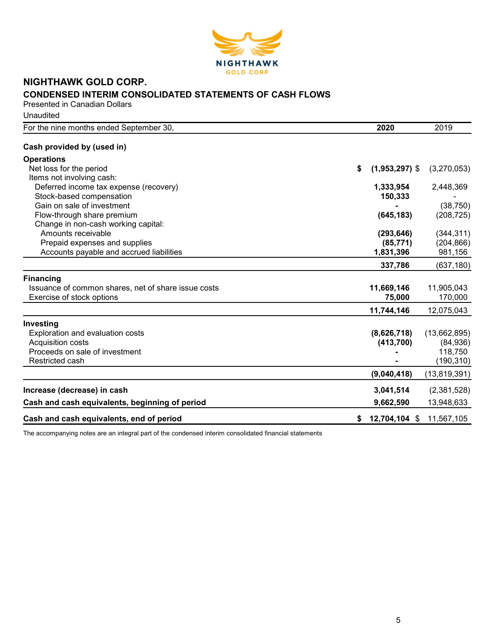

## NIGHTHAWK GOLD CORP. CONDENSED INTERIM CONSOLIDATED STATEMENTS OF CASH FLOWS Presented in Canadian Dollars

**Unaudited** 

| For the nine months ended September 30,             | 2020                   | 2019           |
|-----------------------------------------------------|------------------------|----------------|
| Cash provided by (used in)                          |                        |                |
| <b>Operations</b>                                   |                        |                |
| Net loss for the period                             | \$<br>$(1,953,297)$ \$ | (3,270,053)    |
| Items not involving cash:                           |                        |                |
| Deferred income tax expense (recovery)              | 1,333,954              | 2,448,369      |
| Stock-based compensation                            | 150,333                |                |
| Gain on sale of investment                          |                        | (38, 750)      |
| Flow-through share premium                          | (645, 183)             | (208, 725)     |
| Change in non-cash working capital:                 |                        |                |
| Amounts receivable                                  | (293, 646)             | (344, 311)     |
| Prepaid expenses and supplies                       | (85, 771)              | (204, 866)     |
| Accounts payable and accrued liabilities            | 1,831,396              | 981,156        |
|                                                     | 337,786                | (637, 180)     |
| <b>Financing</b>                                    |                        |                |
| Issuance of common shares, net of share issue costs | 11,669,146             | 11,905,043     |
| Exercise of stock options                           | 75,000                 | 170,000        |
|                                                     | 11,744,146             | 12,075,043     |
| Investing                                           |                        |                |
| Exploration and evaluation costs                    | (8,626,718)            | (13,662,895)   |
| Acquisition costs                                   | (413, 700)             | (84, 936)      |
| Proceeds on sale of investment                      |                        | 118,750        |
| Restricted cash                                     |                        | (190, 310)     |
|                                                     | (9,040,418)            | (13, 819, 391) |
| Increase (decrease) in cash                         | 3,041,514              | (2,381,528)    |
| Cash and cash equivalents, beginning of period      | 9,662,590              | 13,948,633     |
| Cash and cash equivalents, end of period            | 12,704,104 \$          | 11,567,105     |
|                                                     |                        |                |

The accompanying notes are an integral part of the condensed interim consolidated financial statements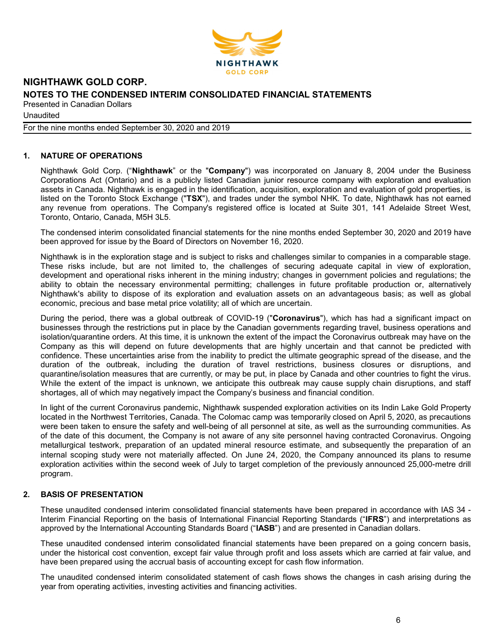

**Unaudited** 

For the nine months ended September 30, 2020 and 2019

## 1. NATURE OF OPERATIONS

Nighthawk Gold Corp. ("Nighthawk" or the "Company") was incorporated on January 8, 2004 under the Business Corporations Act (Ontario) and is a publicly listed Canadian junior resource company with exploration and evaluation assets in Canada. Nighthawk is engaged in the identification, acquisition, exploration and evaluation of gold properties, is listed on the Toronto Stock Exchange ("TSX"), and trades under the symbol NHK. To date, Nighthawk has not earned any revenue from operations. The Company's registered office is located at Suite 301, 141 Adelaide Street West, Toronto, Ontario, Canada, M5H 3L5.

The condensed interim consolidated financial statements for the nine months ended September 30, 2020 and 2019 have been approved for issue by the Board of Directors on November 16, 2020.

Nighthawk is in the exploration stage and is subject to risks and challenges similar to companies in a comparable stage. These risks include, but are not limited to, the challenges of securing adequate capital in view of exploration, development and operational risks inherent in the mining industry; changes in government policies and regulations; the ability to obtain the necessary environmental permitting; challenges in future profitable production or, alternatively Nighthawk's ability to dispose of its exploration and evaluation assets on an advantageous basis; as well as global economic, precious and base metal price volatility; all of which are uncertain.

During the period, there was a global outbreak of COVID-19 ("Coronavirus"), which has had a significant impact on businesses through the restrictions put in place by the Canadian governments regarding travel, business operations and isolation/quarantine orders. At this time, it is unknown the extent of the impact the Coronavirus outbreak may have on the Company as this will depend on future developments that are highly uncertain and that cannot be predicted with confidence. These uncertainties arise from the inability to predict the ultimate geographic spread of the disease, and the duration of the outbreak, including the duration of travel restrictions, business closures or disruptions, and quarantine/isolation measures that are currently, or may be put, in place by Canada and other countries to fight the virus. While the extent of the impact is unknown, we anticipate this outbreak may cause supply chain disruptions, and staff shortages, all of which may negatively impact the Company's business and financial condition.

In light of the current Coronavirus pandemic, Nighthawk suspended exploration activities on its Indin Lake Gold Property located in the Northwest Territories, Canada. The Colomac camp was temporarily closed on April 5, 2020, as precautions were been taken to ensure the safety and well-being of all personnel at site, as well as the surrounding communities. As of the date of this document, the Company is not aware of any site personnel having contracted Coronavirus. Ongoing metallurgical testwork, preparation of an updated mineral resource estimate, and subsequently the preparation of an internal scoping study were not materially affected. On June 24, 2020, the Company announced its plans to resume exploration activities within the second week of July to target completion of the previously announced 25,000-metre drill program.

## 2. BASIS OF PRESENTATION

These unaudited condensed interim consolidated financial statements have been prepared in accordance with IAS 34 - Interim Financial Reporting on the basis of International Financial Reporting Standards ("IFRS") and interpretations as approved by the International Accounting Standards Board ("IASB") and are presented in Canadian dollars.

These unaudited condensed interim consolidated financial statements have been prepared on a going concern basis, under the historical cost convention, except fair value through profit and loss assets which are carried at fair value, and have been prepared using the accrual basis of accounting except for cash flow information.

The unaudited condensed interim consolidated statement of cash flows shows the changes in cash arising during the year from operating activities, investing activities and financing activities.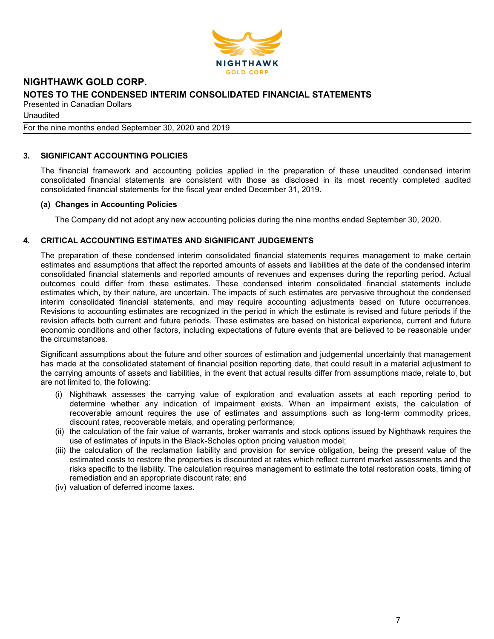

Unaudited

For the nine months ended September 30, 2020 and 2019

## 3. SIGNIFICANT ACCOUNTING POLICIES

The financial framework and accounting policies applied in the preparation of these unaudited condensed interim consolidated financial statements are consistent with those as disclosed in its most recently completed audited consolidated financial statements for the fiscal year ended December 31, 2019.

## (a) Changes in Accounting Policies

The Company did not adopt any new accounting policies during the nine months ended September 30, 2020.

## 4. CRITICAL ACCOUNTING ESTIMATES AND SIGNIFICANT JUDGEMENTS

The preparation of these condensed interim consolidated financial statements requires management to make certain estimates and assumptions that affect the reported amounts of assets and liabilities at the date of the condensed interim consolidated financial statements and reported amounts of revenues and expenses during the reporting period. Actual outcomes could differ from these estimates. These condensed interim consolidated financial statements include estimates which, by their nature, are uncertain. The impacts of such estimates are pervasive throughout the condensed interim consolidated financial statements, and may require accounting adjustments based on future occurrences. Revisions to accounting estimates are recognized in the period in which the estimate is revised and future periods if the revision affects both current and future periods. These estimates are based on historical experience, current and future economic conditions and other factors, including expectations of future events that are believed to be reasonable under the circumstances.

Significant assumptions about the future and other sources of estimation and judgemental uncertainty that management has made at the consolidated statement of financial position reporting date, that could result in a material adjustment to the carrying amounts of assets and liabilities, in the event that actual results differ from assumptions made, relate to, but are not limited to, the following:

- (i) Nighthawk assesses the carrying value of exploration and evaluation assets at each reporting period to determine whether any indication of impairment exists. When an impairment exists, the calculation of recoverable amount requires the use of estimates and assumptions such as long-term commodity prices, discount rates, recoverable metals, and operating performance;
- (ii) the calculation of the fair value of warrants, broker warrants and stock options issued by Nighthawk requires the use of estimates of inputs in the Black-Scholes option pricing valuation model;
- (iii) the calculation of the reclamation liability and provision for service obligation, being the present value of the estimated costs to restore the properties is discounted at rates which reflect current market assessments and the risks specific to the liability. The calculation requires management to estimate the total restoration costs, timing of remediation and an appropriate discount rate; and
- (iv) valuation of deferred income taxes.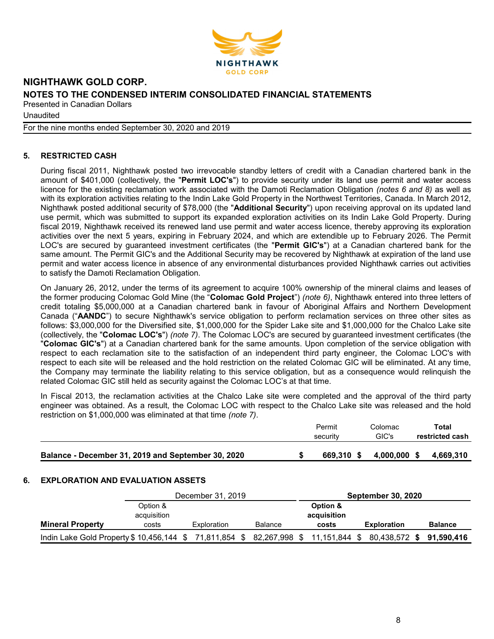

**Unaudited** 

For the nine months ended September 30, 2020 and 2019

## 5. RESTRICTED CASH

During fiscal 2011, Nighthawk posted two irrevocable standby letters of credit with a Canadian chartered bank in the amount of \$401,000 (collectively, the "Permit LOC's") to provide security under its land use permit and water access licence for the existing reclamation work associated with the Damoti Reclamation Obligation (notes 6 and 8) as well as with its exploration activities relating to the Indin Lake Gold Property in the Northwest Territories, Canada. In March 2012, Nighthawk posted additional security of \$78,000 (the "Additional Security") upon receiving approval on its updated land use permit, which was submitted to support its expanded exploration activities on its Indin Lake Gold Property. During fiscal 2019, Nighthawk received its renewed land use permit and water access licence, thereby approving its exploration activities over the next 5 years, expiring in February 2024, and which are extendible up to February 2026. The Permit LOC's are secured by guaranteed investment certificates (the "Permit GIC's") at a Canadian chartered bank for the same amount. The Permit GIC's and the Additional Security may be recovered by Nighthawk at expiration of the land use permit and water access licence in absence of any environmental disturbances provided Nighthawk carries out activities to satisfy the Damoti Reclamation Obligation.

On January 26, 2012, under the terms of its agreement to acquire 100% ownership of the mineral claims and leases of the former producing Colomac Gold Mine (the "Colomac Gold Project") (note 6), Nighthawk entered into three letters of credit totaling \$5,000,000 at a Canadian chartered bank in favour of Aboriginal Affairs and Northern Development Canada ("AANDC") to secure Nighthawk's service obligation to perform reclamation services on three other sites as follows: \$3,000,000 for the Diversified site, \$1,000,000 for the Spider Lake site and \$1,000,000 for the Chalco Lake site (collectively, the "Colomac LOC's") (note 7). The Colomac LOC's are secured by guaranteed investment certificates (the "Colomac GIC's") at a Canadian chartered bank for the same amounts. Upon completion of the service obligation with respect to each reclamation site to the satisfaction of an independent third party engineer, the Colomac LOC's with respect to each site will be released and the hold restriction on the related Colomac GIC will be eliminated. At any time, the Company may terminate the liability relating to this service obligation, but as a consequence would relinquish the related Colomac GIC still held as security against the Colomac LOC's at that time.

In Fiscal 2013, the reclamation activities at the Chalco Lake site were completed and the approval of the third party engineer was obtained. As a result, the Colomac LOC with respect to the Chalco Lake site was released and the hold restriction on \$1,000,000 was eliminated at that time (note 7).

|                                                    | Permit<br>security | Colomac<br>GIC's | Total<br>restricted cash |
|----------------------------------------------------|--------------------|------------------|--------------------------|
| Balance - December 31, 2019 and September 30, 2020 | 669.310 \$         | 4.000.000 \$     | 4.669.310                |

## 6. EXPLORATION AND EVALUATION ASSETS

|                                                                                 | December 31, 2019 |             |                | <b>September 30, 2020</b> |                          |                |
|---------------------------------------------------------------------------------|-------------------|-------------|----------------|---------------------------|--------------------------|----------------|
|                                                                                 | Option &          |             |                | Option &<br>acquisition   |                          |                |
|                                                                                 | acquisition       |             |                |                           |                          |                |
| <b>Mineral Property</b>                                                         | costs             | Exploration | <b>Balance</b> | costs                     | <b>Exploration</b>       | <b>Balance</b> |
| Indin Lake Gold Property \$10,456,144 \$71,811,854 \$82,267,998 \$11,151,844 \$ |                   |             |                |                           | 80,438,572 \$ 91,590,416 |                |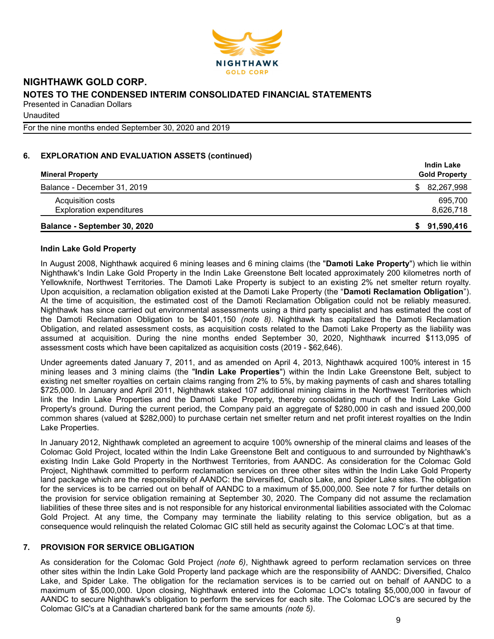

**Unaudited** 

For the nine months ended September 30, 2020 and 2019

## 6. EXPLORATION AND EVALUATION ASSETS (continued)

| <b>Mineral Property</b>         | <b>Indin Lake</b><br><b>Gold Property</b> |
|---------------------------------|-------------------------------------------|
| Balance - December 31, 2019     | 82,267,998<br>S.                          |
| Acquisition costs               | 695.700                                   |
| <b>Exploration expenditures</b> | 8,626,718                                 |
| Balance - September 30, 2020    | 91,590,416<br>S.                          |

## Indin Lake Gold Property

In August 2008, Nighthawk acquired 6 mining leases and 6 mining claims (the "Damoti Lake Property") which lie within Nighthawk's Indin Lake Gold Property in the Indin Lake Greenstone Belt located approximately 200 kilometres north of Yellowknife, Northwest Territories. The Damoti Lake Property is subject to an existing 2% net smelter return royalty. Upon acquisition, a reclamation obligation existed at the Damoti Lake Property (the "Damoti Reclamation Obligation"). At the time of acquisition, the estimated cost of the Damoti Reclamation Obligation could not be reliably measured. Nighthawk has since carried out environmental assessments using a third party specialist and has estimated the cost of the Damoti Reclamation Obligation to be \$401,150 (note 8). Nighthawk has capitalized the Damoti Reclamation Obligation, and related assessment costs, as acquisition costs related to the Damoti Lake Property as the liability was assumed at acquisition. During the nine months ended September 30, 2020, Nighthawk incurred \$113,095 of assessment costs which have been capitalized as acquisition costs (2019 - \$62,646).

Under agreements dated January 7, 2011, and as amended on April 4, 2013, Nighthawk acquired 100% interest in 15 mining leases and 3 mining claims (the "Indin Lake Properties") within the Indin Lake Greenstone Belt, subject to existing net smelter royalties on certain claims ranging from 2% to 5%, by making payments of cash and shares totalling \$725,000. In January and April 2011, Nighthawk staked 107 additional mining claims in the Northwest Territories which link the Indin Lake Properties and the Damoti Lake Property, thereby consolidating much of the Indin Lake Gold Property's ground. During the current period, the Company paid an aggregate of \$280,000 in cash and issued 200,000 common shares (valued at \$282,000) to purchase certain net smelter return and net profit interest royalties on the Indin Lake Properties.

In January 2012, Nighthawk completed an agreement to acquire 100% ownership of the mineral claims and leases of the Colomac Gold Project, located within the Indin Lake Greenstone Belt and contiguous to and surrounded by Nighthawk's existing Indin Lake Gold Property in the Northwest Territories, from AANDC. As consideration for the Colomac Gold Project, Nighthawk committed to perform reclamation services on three other sites within the Indin Lake Gold Property land package which are the responsibility of AANDC: the Diversified, Chalco Lake, and Spider Lake sites. The obligation for the services is to be carried out on behalf of AANDC to a maximum of \$5,000,000. See note 7 for further details on the provision for service obligation remaining at September 30, 2020. The Company did not assume the reclamation liabilities of these three sites and is not responsible for any historical environmental liabilities associated with the Colomac Gold Project. At any time, the Company may terminate the liability relating to this service obligation, but as a consequence would relinquish the related Colomac GIC still held as security against the Colomac LOC's at that time.

## 7. PROVISION FOR SERVICE OBLIGATION

As consideration for the Colomac Gold Project *(note 6)*, Nighthawk agreed to perform reclamation services on three other sites within the Indin Lake Gold Property land package which are the responsibility of AANDC: Diversified, Chalco Lake, and Spider Lake. The obligation for the reclamation services is to be carried out on behalf of AANDC to a maximum of \$5,000,000. Upon closing, Nighthawk entered into the Colomac LOC's totaling \$5,000,000 in favour of AANDC to secure Nighthawk's obligation to perform the services for each site. The Colomac LOC's are secured by the Colomac GIC's at a Canadian chartered bank for the same amounts (note 5).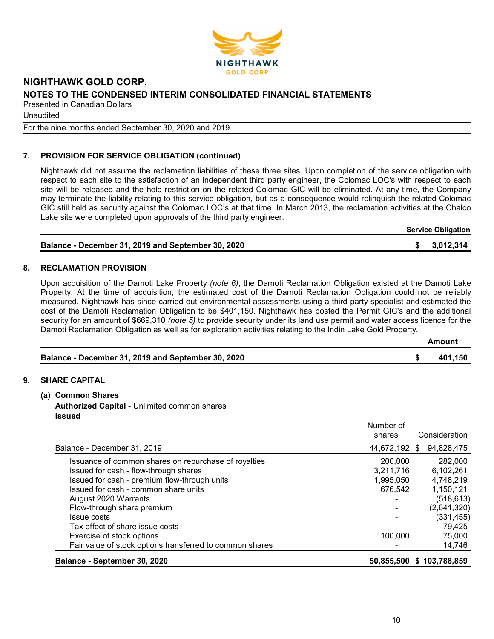

Unaudited

For the nine months ended September 30, 2020 and 2019

## 7. PROVISION FOR SERVICE OBLIGATION (continued)

Nighthawk did not assume the reclamation liabilities of these three sites. Upon completion of the service obligation with respect to each site to the satisfaction of an independent third party engineer, the Colomac LOC's with respect to each site will be released and the hold restriction on the related Colomac GIC will be eliminated. At any time, the Company may terminate the liability relating to this service obligation, but as a consequence would relinquish the related Colomac GIC still held as security against the Colomac LOC's at that time. In March 2013, the reclamation activities at the Chalco Lake site were completed upon approvals of the third party engineer.

Service Obligation

| Balance - December 31, 2019 and September 30, 2020 | \$3,012,314 |
|----------------------------------------------------|-------------|
|                                                    |             |

## 8. RECLAMATION PROVISION

Upon acquisition of the Damoti Lake Property (note 6), the Damoti Reclamation Obligation existed at the Damoti Lake Property. At the time of acquisition, the estimated cost of the Damoti Reclamation Obligation could not be reliably measured. Nighthawk has since carried out environmental assessments using a third party specialist and estimated the cost of the Damoti Reclamation Obligation to be \$401,150. Nighthawk has posted the Permit GIC's and the additional security for an amount of \$669,310 *(note 5)* to provide security under its land use permit and water access licence for the Damoti Reclamation Obligation as well as for exploration activities relating to the Indin Lake Gold Property.

|                                                    | Amount  |
|----------------------------------------------------|---------|
| Balance - December 31, 2019 and September 30, 2020 | 401.150 |

## 9. SHARE CAPITAL

- (a) Common Shares
	- Authorized Capital Unlimited common shares Issued

|                                                          | Number of<br>shares | Consideration    |
|----------------------------------------------------------|---------------------|------------------|
| Balance - December 31, 2019                              | 44,672,192          | 94,828,475<br>S. |
| Issuance of common shares on repurchase of royalties     | 200,000             | 282,000          |
| Issued for cash - flow-through shares                    | 3,211,716           | 6,102,261        |
| Issued for cash - premium flow-through units             | 1,995,050           | 4,748,219        |
| Issued for cash - common share units                     | 676,542             | 1,150,121        |
| August 2020 Warrants                                     |                     | (518, 613)       |
| Flow-through share premium                               |                     | (2,641,320)      |
| Issue costs                                              |                     | (331, 455)       |
| Tax effect of share issue costs                          |                     | 79,425           |
| Exercise of stock options                                | 100.000             | 75,000           |
| Fair value of stock options transferred to common shares |                     | 14,746           |
| Balance - September 30, 2020                             | 50,855,500          | \$103,788,859    |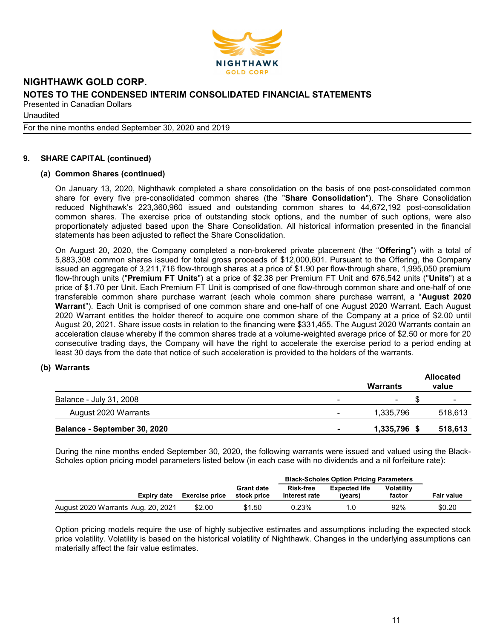

**Unaudited** 

For the nine months ended September 30, 2020 and 2019

## 9. SHARE CAPITAL (continued)

## (a) Common Shares (continued)

On January 13, 2020, Nighthawk completed a share consolidation on the basis of one post-consolidated common share for every five pre-consolidated common shares (the "Share Consolidation"). The Share Consolidation reduced Nighthawk's 223,360,960 issued and outstanding common shares to 44,672,192 post-consolidation common shares. The exercise price of outstanding stock options, and the number of such options, were also proportionately adjusted based upon the Share Consolidation. All historical information presented in the financial statements has been adjusted to reflect the Share Consolidation.

On August 20, 2020, the Company completed a non-brokered private placement (the "Offering") with a total of 5,883,308 common shares issued for total gross proceeds of \$12,000,601. Pursuant to the Offering, the Company issued an aggregate of 3,211,716 flow-through shares at a price of \$1.90 per flow-through share, 1,995,050 premium flow-through units ("Premium FT Units") at a price of \$2.38 per Premium FT Unit and 676,542 units ("Units") at a price of \$1.70 per Unit. Each Premium FT Unit is comprised of one flow-through common share and one-half of one transferable common share purchase warrant (each whole common share purchase warrant, a "August 2020 Warrant"). Each Unit is comprised of one common share and one-half of one August 2020 Warrant. Each August 2020 Warrant entitles the holder thereof to acquire one common share of the Company at a price of \$2.00 until August 20, 2021. Share issue costs in relation to the financing were \$331,455. The August 2020 Warrants contain an acceleration clause whereby if the common shares trade at a volume-weighted average price of \$2.50 or more for 20 consecutive trading days, the Company will have the right to accelerate the exercise period to a period ending at least 30 days from the date that notice of such acceleration is provided to the holders of the warrants.

## (b) Warrants

|                              |                | Warrants                 | <b>Allocated</b><br>value |
|------------------------------|----------------|--------------------------|---------------------------|
| Balance - July 31, 2008      | -              | $\overline{\phantom{0}}$ |                           |
| August 2020 Warrants         | -              | 1,335,796                | 518,613                   |
| Balance - September 30, 2020 | $\blacksquare$ | 1,335,796 \$             | 518,613                   |

During the nine months ended September 30, 2020, the following warrants were issued and valued using the Black-Scholes option pricing model parameters listed below (in each case with no dividends and a nil forfeiture rate):

|                                    |                       |                                  | <b>Black-Scholes Option Pricing Parameters</b> |                                 |                             |                   |
|------------------------------------|-----------------------|----------------------------------|------------------------------------------------|---------------------------------|-----------------------------|-------------------|
| Expiry date                        | <b>Exercise price</b> | <b>Grant date</b><br>stock price | <b>Risk-free</b><br>interest rate              | <b>Expected life</b><br>(vears) | <b>Volatility</b><br>factor | <b>Fair value</b> |
| August 2020 Warrants Aug. 20, 2021 | \$2.00                | \$1.50                           | 0.23%                                          |                                 | 92%                         | \$0.20            |

Option pricing models require the use of highly subjective estimates and assumptions including the expected stock price volatility. Volatility is based on the historical volatility of Nighthawk. Changes in the underlying assumptions can materially affect the fair value estimates.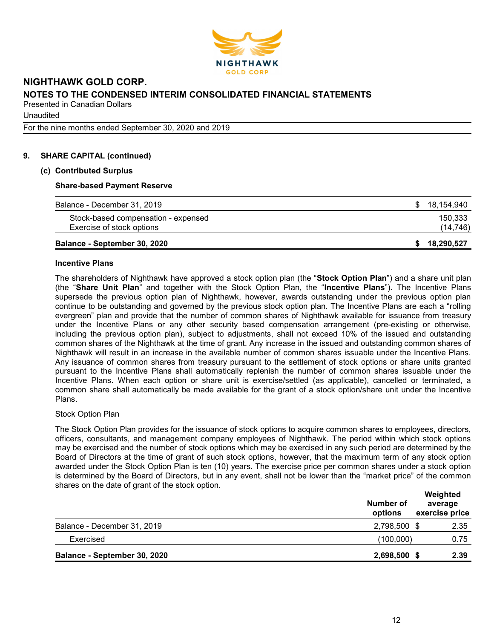

**Unaudited** 

For the nine months ended September 30, 2020 and 2019

## 9. SHARE CAPITAL (continued)

## (c) Contributed Surplus

## Share-based Payment Reserve

| Exercise of stock options<br>Balance - September 30, 2020 |    | (14, 746)<br>18.290.527 |
|-----------------------------------------------------------|----|-------------------------|
| Stock-based compensation - expensed                       |    | 150,333                 |
| Balance - December 31, 2019                               | S. | 18,154,940              |

#### Incentive Plans

The shareholders of Nighthawk have approved a stock option plan (the "Stock Option Plan") and a share unit plan (the "Share Unit Plan" and together with the Stock Option Plan, the "Incentive Plans"). The Incentive Plans supersede the previous option plan of Nighthawk, however, awards outstanding under the previous option plan continue to be outstanding and governed by the previous stock option plan. The Incentive Plans are each a "rolling evergreen" plan and provide that the number of common shares of Nighthawk available for issuance from treasury under the Incentive Plans or any other security based compensation arrangement (pre-existing or otherwise, including the previous option plan), subject to adjustments, shall not exceed 10% of the issued and outstanding common shares of the Nighthawk at the time of grant. Any increase in the issued and outstanding common shares of Nighthawk will result in an increase in the available number of common shares issuable under the Incentive Plans. Any issuance of common shares from treasury pursuant to the settlement of stock options or share units granted pursuant to the Incentive Plans shall automatically replenish the number of common shares issuable under the Incentive Plans. When each option or share unit is exercise/settled (as applicable), cancelled or terminated, a common share shall automatically be made available for the grant of a stock option/share unit under the Incentive Plans.

## Stock Option Plan

The Stock Option Plan provides for the issuance of stock options to acquire common shares to employees, directors, officers, consultants, and management company employees of Nighthawk. The period within which stock options may be exercised and the number of stock options which may be exercised in any such period are determined by the Board of Directors at the time of grant of such stock options, however, that the maximum term of any stock option awarded under the Stock Option Plan is ten (10) years. The exercise price per common shares under a stock option is determined by the Board of Directors, but in any event, shall not be lower than the "market price" of the common shares on the date of grant of the stock option.

|                              | Number of<br>options | Weighted<br>average<br>exercise price |
|------------------------------|----------------------|---------------------------------------|
| Balance - December 31, 2019  | 2,798,500 \$         | 2.35                                  |
| Exercised                    | (100,000)            | 0.75                                  |
| Balance - September 30, 2020 | 2,698,500            | 2.39                                  |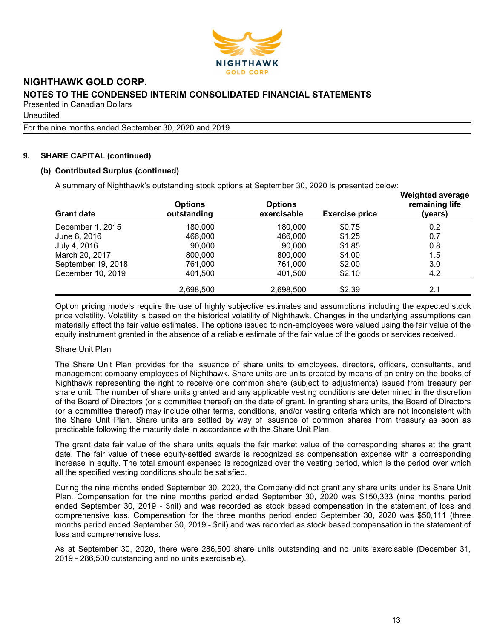

**Unaudited** 

For the nine months ended September 30, 2020 and 2019

## 9. SHARE CAPITAL (continued)

## (b) Contributed Surplus (continued)

A summary of Nighthawk's outstanding stock options at September 30, 2020 is presented below:

| <b>Grant date</b>  | <b>Options</b><br>outstanding | <b>Options</b><br>exercisable | <b>Exercise price</b> | <b>Weighted average</b><br>remaining life<br>(years) |
|--------------------|-------------------------------|-------------------------------|-----------------------|------------------------------------------------------|
| December 1, 2015   | 180.000                       | 180.000                       | \$0.75                | 0.2                                                  |
| June 8, 2016       | 466,000                       | 466,000                       | \$1.25                | 0.7                                                  |
| July 4, 2016       | 90.000                        | 90.000                        | \$1.85                | 0.8                                                  |
| March 20, 2017     | 800,000                       | 800,000                       | \$4.00                | 1.5                                                  |
| September 19, 2018 | 761,000                       | 761,000                       | \$2.00                | 3.0                                                  |
| December 10, 2019  | 401,500                       | 401,500                       | \$2.10                | 4.2                                                  |
|                    | 2,698,500                     | 2,698,500                     | \$2.39                | 2.1                                                  |

Option pricing models require the use of highly subjective estimates and assumptions including the expected stock price volatility. Volatility is based on the historical volatility of Nighthawk. Changes in the underlying assumptions can materially affect the fair value estimates. The options issued to non-employees were valued using the fair value of the equity instrument granted in the absence of a reliable estimate of the fair value of the goods or services received.

## Share Unit Plan

The Share Unit Plan provides for the issuance of share units to employees, directors, officers, consultants, and management company employees of Nighthawk. Share units are units created by means of an entry on the books of Nighthawk representing the right to receive one common share (subject to adjustments) issued from treasury per share unit. The number of share units granted and any applicable vesting conditions are determined in the discretion of the Board of Directors (or a committee thereof) on the date of grant. In granting share units, the Board of Directors (or a committee thereof) may include other terms, conditions, and/or vesting criteria which are not inconsistent with the Share Unit Plan. Share units are settled by way of issuance of common shares from treasury as soon as practicable following the maturity date in accordance with the Share Unit Plan.

The grant date fair value of the share units equals the fair market value of the corresponding shares at the grant date. The fair value of these equity-settled awards is recognized as compensation expense with a corresponding increase in equity. The total amount expensed is recognized over the vesting period, which is the period over which all the specified vesting conditions should be satisfied.

During the nine months ended September 30, 2020, the Company did not grant any share units under its Share Unit Plan. Compensation for the nine months period ended September 30, 2020 was \$150,333 (nine months period ended September 30, 2019 - \$nil) and was recorded as stock based compensation in the statement of loss and comprehensive loss. Compensation for the three months period ended September 30, 2020 was \$50,111 (three months period ended September 30, 2019 - \$nil) and was recorded as stock based compensation in the statement of loss and comprehensive loss.

As at September 30, 2020, there were 286,500 share units outstanding and no units exercisable (December 31, 2019 - 286,500 outstanding and no units exercisable).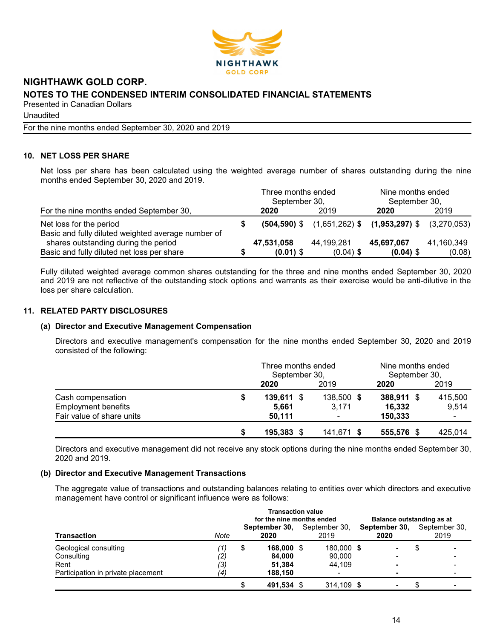

Unaudited

For the nine months ended September 30, 2020 and 2019

## 10. NET LOSS PER SHARE

Net loss per share has been calculated using the weighted average number of shares outstanding during the nine months ended September 30, 2020 and 2019.

|                                                                               |  | Three months ended<br>September 30, |                                                                | Nine months ended<br>September 30, |            |
|-------------------------------------------------------------------------------|--|-------------------------------------|----------------------------------------------------------------|------------------------------------|------------|
| For the nine months ended September 30,                                       |  | 2020                                | 2019                                                           | 2020                               | 2019       |
| Net loss for the period<br>Basic and fully diluted weighted average number of |  |                                     | $(504,590)$ \$ $(1,651,262)$ \$ $(1,953,297)$ \$ $(3,270,053)$ |                                    |            |
| shares outstanding during the period                                          |  | 47,531,058                          | 44,199,281                                                     | 45,697,067                         | 41,160,349 |
| Basic and fully diluted net loss per share                                    |  | $(0.01)$ \$                         | $(0.04)$ \$                                                    | $(0.04)$ \$                        | (0.08)     |

Fully diluted weighted average common shares outstanding for the three and nine months ended September 30, 2020 and 2019 are not reflective of the outstanding stock options and warrants as their exercise would be anti-dilutive in the loss per share calculation.

## 11. RELATED PARTY DISCLOSURES

## (a) Director and Executive Management Compensation

Directors and executive management's compensation for the nine months ended September 30, 2020 and 2019 consisted of the following:

|                            |   | Three months ended<br>September 30, |            | Nine months ended<br>September 30, |         |  |
|----------------------------|---|-------------------------------------|------------|------------------------------------|---------|--|
|                            |   | 2020                                | 2019       | 2020                               | 2019    |  |
| Cash compensation          | S | 139,611 \$                          | 138,500 \$ | 388,911 \$                         | 415,500 |  |
| <b>Employment benefits</b> |   | 5.661                               | 3,171      | 16,332                             | 9,514   |  |
| Fair value of share units  |   | 50.111                              |            | 150,333                            | ۰.      |  |
|                            | S | 195,383 \$                          | 141,671 \$ | 555,576 \$                         | 425,014 |  |

Directors and executive management did not receive any stock options during the nine months ended September 30, 2020 and 2019.

## (b) Director and Executive Management Transactions

The aggregate value of transactions and outstanding balances relating to entities over which directors and executive management have control or significant influence were as follows:

|                                    | <b>Transaction value</b><br>for the nine months ended |   |                       |  |                       |  |                       | Balance outstanding as at |                       |  |
|------------------------------------|-------------------------------------------------------|---|-----------------------|--|-----------------------|--|-----------------------|---------------------------|-----------------------|--|
| <b>Transaction</b>                 | Note                                                  |   | September 30,<br>2020 |  | September 30,<br>2019 |  | September 30,<br>2020 |                           | September 30,<br>2019 |  |
| Geological consulting              | 7)                                                    | S | 168,000 \$            |  | 180,000 \$            |  | -                     |                           |                       |  |
| Consulting                         | $\left( 2\right)$                                     |   | 84.000                |  | 90.000                |  | -                     |                           |                       |  |
| Rent                               | (3)                                                   |   | 51.384                |  | 44.109                |  | -                     |                           |                       |  |
| Participation in private placement | (4)                                                   |   | 188.150               |  |                       |  | -                     |                           |                       |  |
|                                    |                                                       |   | 491,534 \$            |  | 314.109 \$            |  | -                     |                           |                       |  |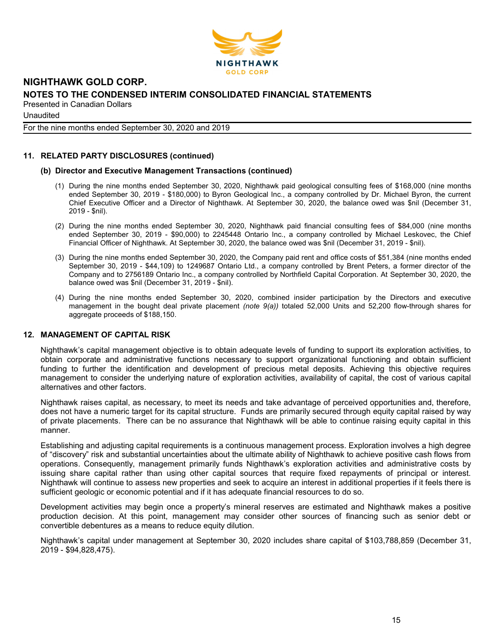

**Unaudited** 

For the nine months ended September 30, 2020 and 2019

## 11. RELATED PARTY DISCLOSURES (continued)

## (b) Director and Executive Management Transactions (continued)

- (1) During the nine months ended September 30, 2020, Nighthawk paid geological consulting fees of \$168,000 (nine months ended September 30, 2019 - \$180,000) to Byron Geological Inc., a company controlled by Dr. Michael Byron, the current Chief Executive Officer and a Director of Nighthawk. At September 30, 2020, the balance owed was \$nil (December 31, 2019 - \$nil).
- (2) During the nine months ended September 30, 2020, Nighthawk paid financial consulting fees of \$84,000 (nine months ended September 30, 2019 - \$90,000) to 2245448 Ontario Inc., a company controlled by Michael Leskovec, the Chief Financial Officer of Nighthawk. At September 30, 2020, the balance owed was \$nil (December 31, 2019 - \$nil).
- (3) During the nine months ended September 30, 2020, the Company paid rent and office costs of \$51,384 (nine months ended September 30, 2019 - \$44,109) to 1249687 Ontario Ltd., a company controlled by Brent Peters, a former director of the Company and to 2756189 Ontario Inc., a company controlled by Northfield Capital Corporation. At September 30, 2020, the balance owed was \$nil (December 31, 2019 - \$nil).
- (4) During the nine months ended September 30, 2020, combined insider participation by the Directors and executive management in the bought deal private placement (note 9(a)) totaled 52,000 Units and 52,200 flow-through shares for aggregate proceeds of \$188,150.

## 12. MANAGEMENT OF CAPITAL RISK

Nighthawk's capital management objective is to obtain adequate levels of funding to support its exploration activities, to obtain corporate and administrative functions necessary to support organizational functioning and obtain sufficient funding to further the identification and development of precious metal deposits. Achieving this objective requires management to consider the underlying nature of exploration activities, availability of capital, the cost of various capital alternatives and other factors.

Nighthawk raises capital, as necessary, to meet its needs and take advantage of perceived opportunities and, therefore, does not have a numeric target for its capital structure. Funds are primarily secured through equity capital raised by way of private placements. There can be no assurance that Nighthawk will be able to continue raising equity capital in this manner.

Establishing and adjusting capital requirements is a continuous management process. Exploration involves a high degree of "discovery" risk and substantial uncertainties about the ultimate ability of Nighthawk to achieve positive cash flows from operations. Consequently, management primarily funds Nighthawk's exploration activities and administrative costs by issuing share capital rather than using other capital sources that require fixed repayments of principal or interest. Nighthawk will continue to assess new properties and seek to acquire an interest in additional properties if it feels there is sufficient geologic or economic potential and if it has adequate financial resources to do so.

Development activities may begin once a property's mineral reserves are estimated and Nighthawk makes a positive production decision. At this point, management may consider other sources of financing such as senior debt or convertible debentures as a means to reduce equity dilution.

Nighthawk's capital under management at September 30, 2020 includes share capital of \$103,788,859 (December 31, 2019 - \$94,828,475).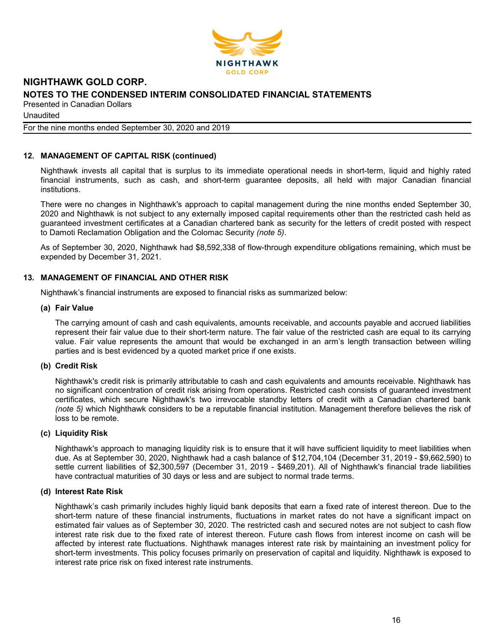

**Unaudited** 

#### For the nine months ended September 30, 2020 and 2019

## 12. MANAGEMENT OF CAPITAL RISK (continued)

Nighthawk invests all capital that is surplus to its immediate operational needs in short-term, liquid and highly rated financial instruments, such as cash, and short-term guarantee deposits, all held with major Canadian financial institutions.

There were no changes in Nighthawk's approach to capital management during the nine months ended September 30, 2020 and Nighthawk is not subject to any externally imposed capital requirements other than the restricted cash held as guaranteed investment certificates at a Canadian chartered bank as security for the letters of credit posted with respect to Damoti Reclamation Obligation and the Colomac Security (note 5).

As of September 30, 2020, Nighthawk had \$8,592,338 of flow-through expenditure obligations remaining, which must be expended by December 31, 2021.

## 13. MANAGEMENT OF FINANCIAL AND OTHER RISK

Nighthawk's financial instruments are exposed to financial risks as summarized below:

## (a) Fair Value

The carrying amount of cash and cash equivalents, amounts receivable, and accounts payable and accrued liabilities represent their fair value due to their short-term nature. The fair value of the restricted cash are equal to its carrying value. Fair value represents the amount that would be exchanged in an arm's length transaction between willing parties and is best evidenced by a quoted market price if one exists.

## (b) Credit Risk

Nighthawk's credit risk is primarily attributable to cash and cash equivalents and amounts receivable. Nighthawk has no significant concentration of credit risk arising from operations. Restricted cash consists of guaranteed investment certificates, which secure Nighthawk's two irrevocable standby letters of credit with a Canadian chartered bank (note 5) which Nighthawk considers to be a reputable financial institution. Management therefore believes the risk of loss to be remote.

## (c) Liquidity Risk

Nighthawk's approach to managing liquidity risk is to ensure that it will have sufficient liquidity to meet liabilities when due. As at September 30, 2020, Nighthawk had a cash balance of \$12,704,104 (December 31, 2019 - \$9,662,590) to settle current liabilities of \$2,300,597 (December 31, 2019 - \$469,201). All of Nighthawk's financial trade liabilities have contractual maturities of 30 days or less and are subject to normal trade terms.

#### (d) Interest Rate Risk

Nighthawk's cash primarily includes highly liquid bank deposits that earn a fixed rate of interest thereon. Due to the short-term nature of these financial instruments, fluctuations in market rates do not have a significant impact on estimated fair values as of September 30, 2020. The restricted cash and secured notes are not subject to cash flow interest rate risk due to the fixed rate of interest thereon. Future cash flows from interest income on cash will be affected by interest rate fluctuations. Nighthawk manages interest rate risk by maintaining an investment policy for short-term investments. This policy focuses primarily on preservation of capital and liquidity. Nighthawk is exposed to interest rate price risk on fixed interest rate instruments.